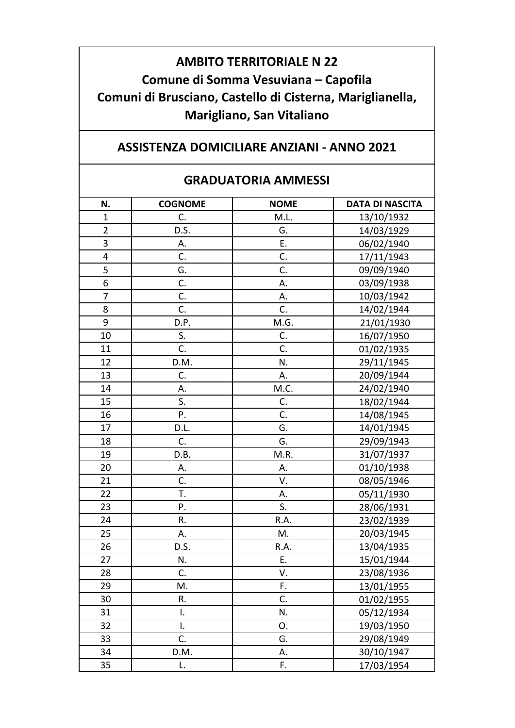## **AMBITO TERRITORIALE N 22 Comune di Somma Vesuviana – Capofila Comuni di Brusciano, Castello di Cisterna, Mariglianella, Marigliano, San Vitaliano**

## **ASSISTENZA DOMICILIARE ANZIANI ‐ ANNO 2021**

## **GRADUATORIA AMMESSI**

| N.             | <b>COGNOME</b> | <b>NOME</b> | <b>DATA DI NASCITA</b> |
|----------------|----------------|-------------|------------------------|
| $\mathbf{1}$   | C.             | M.L.        | 13/10/1932             |
| $\overline{2}$ | D.S.           | G.          | 14/03/1929             |
| 3              | А.             | E.          | 06/02/1940             |
| 4              | C.             | C.          | 17/11/1943             |
| 5              | G.             | C.          | 09/09/1940             |
| 6              |                |             |                        |
| $\overline{7}$ | C.<br>C.       | А.          | 03/09/1938             |
|                |                | А.          | 10/03/1942             |
| 8              | C.             | C.          | 14/02/1944             |
| 9              | D.P.           | M.G.        | 21/01/1930             |
| 10             | S.             | C.          | 16/07/1950             |
| 11             | C.             | C.          | 01/02/1935             |
| 12             | D.M.           | N.          | 29/11/1945             |
| 13             | C.             | А.          | 20/09/1944             |
| 14             | А.             | M.C.        | 24/02/1940             |
| 15             | S.             | C.          | 18/02/1944             |
| 16             | Ρ.             | C.          | 14/08/1945             |
| 17             | D.L.           | G.          | 14/01/1945             |
| 18             | C.             | G.          | 29/09/1943             |
| 19             | D.B.           | M.R.        | 31/07/1937             |
| 20             | А.             | А.          | 01/10/1938             |
| 21             | C.             | V.          | 08/05/1946             |
| 22             | T.             | А.          | 05/11/1930             |
| 23             | Ρ.             | S.          | 28/06/1931             |
| 24             | R.             | R.A.        | 23/02/1939             |
| 25             | А.             | M.          | 20/03/1945             |
| 26             | D.S.           | R.A.        | 13/04/1935             |
| 27             | N.             | E.          | 15/01/1944             |
| 28             | C.             | V.          | 23/08/1936             |
| 29             | M.             | F.          | 13/01/1955             |
| 30             | R.             | C.          | 01/02/1955             |
| 31             | I.             | N.          | 05/12/1934             |
| 32             | I.             | 0.          | 19/03/1950             |
| 33             | C.             | G.          | 29/08/1949             |
| 34             | D.M.           | А.          | 30/10/1947             |
| 35             | L.             | F.          | 17/03/1954             |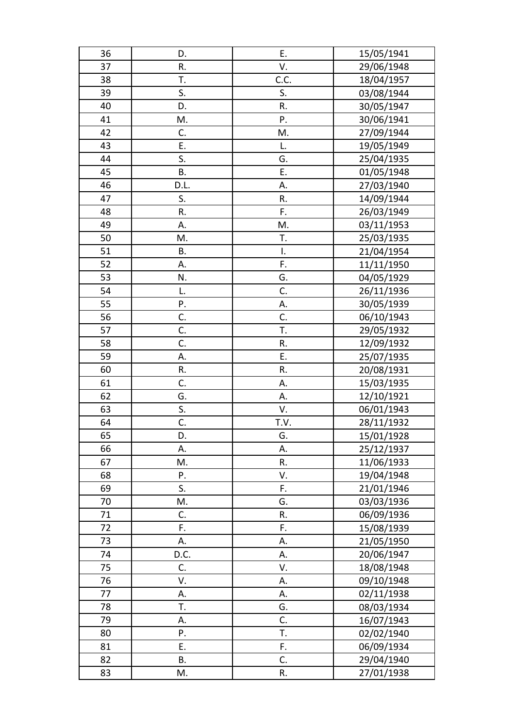| 36 | D.        | Ε.   | 15/05/1941 |
|----|-----------|------|------------|
| 37 | R.        | V.   | 29/06/1948 |
| 38 | T.        | C.C. | 18/04/1957 |
| 39 | S.        | S.   | 03/08/1944 |
| 40 | D.        | R.   | 30/05/1947 |
| 41 | М.        | P.   | 30/06/1941 |
| 42 | C.        | M.   | 27/09/1944 |
| 43 | Ε.        | L.   | 19/05/1949 |
| 44 | S.        | G.   | 25/04/1935 |
| 45 | <b>B.</b> | Ε.   | 01/05/1948 |
| 46 | D.L.      | А.   | 27/03/1940 |
| 47 | S.        | R.   | 14/09/1944 |
| 48 | R.        | F.   | 26/03/1949 |
| 49 | А.        | M.   | 03/11/1953 |
| 50 | M.        | T.   | 25/03/1935 |
| 51 | В.        | Ι.   | 21/04/1954 |
| 52 | А.        | F.   | 11/11/1950 |
| 53 | N.        | G.   | 04/05/1929 |
| 54 | L.        | C.   | 26/11/1936 |
| 55 | Ρ.        | А.   | 30/05/1939 |
| 56 | C.        | C.   | 06/10/1943 |
| 57 | C.        | T.   | 29/05/1932 |
| 58 | C.        | R.   | 12/09/1932 |
| 59 | А.        | E.   | 25/07/1935 |
| 60 | R.        | R.   | 20/08/1931 |
| 61 | C.        | Α.   | 15/03/1935 |
| 62 | G.        | А.   | 12/10/1921 |
| 63 | S.        | V.   | 06/01/1943 |
| 64 | C.        | T.V. | 28/11/1932 |
| 65 | D.        | G.   | 15/01/1928 |
| 66 | А.        | А.   | 25/12/1937 |
| 67 | M.        | R.   | 11/06/1933 |
| 68 | P.        | V.   | 19/04/1948 |
| 69 | S.        | F.   | 21/01/1946 |
| 70 | M.        | G.   | 03/03/1936 |
| 71 | C.        | R.   | 06/09/1936 |
| 72 | F.        | F.   | 15/08/1939 |
| 73 | А.        | А.   | 21/05/1950 |
| 74 | D.C.      | А.   | 20/06/1947 |
| 75 | C.        | V.   | 18/08/1948 |
| 76 | V.        | А.   | 09/10/1948 |
| 77 | А.        | А.   | 02/11/1938 |
| 78 | Τ.        | G.   | 08/03/1934 |
| 79 | А.        | C.   | 16/07/1943 |
| 80 | P.        | Т.   | 02/02/1940 |
| 81 | Ε.        | F.   | 06/09/1934 |
| 82 | <b>B.</b> | C.   | 29/04/1940 |
| 83 | M.        | R.   | 27/01/1938 |